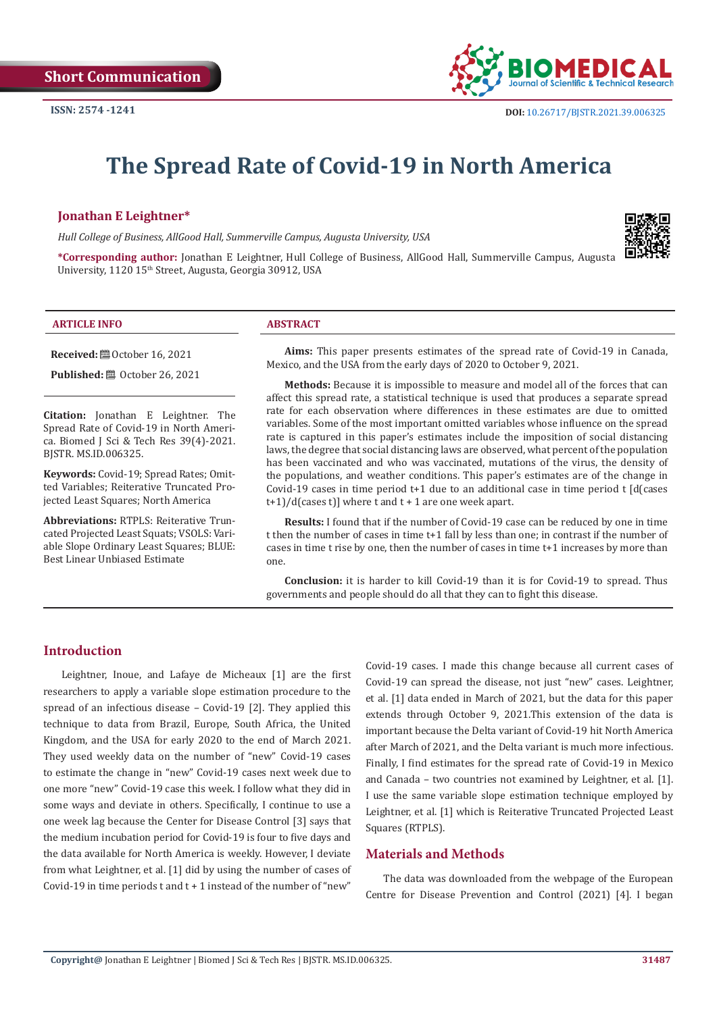

# **The Spread Rate of Covid-19 in North America**

# **Jonathan E Leightner\***

*Hull College of Business, AllGood Hall, Summerville Campus, Augusta University, USA*

**\*Corresponding author:** Jonathan E Leightner, Hull College of Business, AllGood Hall, Summerville Campus, Augusta University, 1120 15<sup>th</sup> Street, Augusta, Georgia 30912, USA

#### **ARTICLE INFO ABSTRACT**

**Received:** ■ October 16, 2021

**Published:** ■ October 26, 2021

**Citation:** Jonathan E Leightner. The Spread Rate of Covid-19 in North America. Biomed J Sci & Tech Res 39(4)-2021. BJSTR. MS.ID.006325.

**Keywords:** Covid-19; Spread Rates; Omitted Variables; Reiterative Truncated Projected Least Squares; North America

**Abbreviations:** RTPLS: Reiterative Truncated Projected Least Squats; VSOLS: Variable Slope Ordinary Least Squares; BLUE: Best Linear Unbiased Estimate

**Aims:** This paper presents estimates of the spread rate of Covid-19 in Canada, Mexico, and the USA from the early days of 2020 to October 9, 2021.

**Methods:** Because it is impossible to measure and model all of the forces that can affect this spread rate, a statistical technique is used that produces a separate spread rate for each observation where differences in these estimates are due to omitted variables. Some of the most important omitted variables whose influence on the spread rate is captured in this paper's estimates include the imposition of social distancing laws, the degree that social distancing laws are observed, what percent of the population has been vaccinated and who was vaccinated, mutations of the virus, the density of the populations, and weather conditions. This paper's estimates are of the change in Covid-19 cases in time period  $t+1$  due to an additional case in time period  $t \int d(c$  cases  $t+1$ /d(cases t)] where t and  $t+1$  are one week apart.

**Results:** I found that if the number of Covid-19 case can be reduced by one in time t then the number of cases in time t+1 fall by less than one; in contrast if the number of cases in time t rise by one, then the number of cases in time t+1 increases by more than one.

**Conclusion:** it is harder to kill Covid-19 than it is for Covid-19 to spread. Thus governments and people should do all that they can to fight this disease.

# **Introduction**

Leightner, Inoue, and Lafaye de Micheaux [1] are the first researchers to apply a variable slope estimation procedure to the spread of an infectious disease – Covid-19 [2]. They applied this technique to data from Brazil, Europe, South Africa, the United Kingdom, and the USA for early 2020 to the end of March 2021. They used weekly data on the number of "new" Covid-19 cases to estimate the change in "new" Covid-19 cases next week due to one more "new" Covid-19 case this week. I follow what they did in some ways and deviate in others. Specifically, I continue to use a one week lag because the Center for Disease Control [3] says that the medium incubation period for Covid-19 is four to five days and the data available for North America is weekly. However, I deviate from what Leightner, et al. [1] did by using the number of cases of Covid-19 in time periods  $t$  and  $t + 1$  instead of the number of "new"

Covid-19 cases. I made this change because all current cases of Covid-19 can spread the disease, not just "new" cases. Leightner, et al. [1] data ended in March of 2021, but the data for this paper extends through October 9, 2021.This extension of the data is important because the Delta variant of Covid-19 hit North America after March of 2021, and the Delta variant is much more infectious. Finally, I find estimates for the spread rate of Covid-19 in Mexico and Canada – two countries not examined by Leightner, et al. [1]. I use the same variable slope estimation technique employed by Leightner, et al. [1] which is Reiterative Truncated Projected Least Squares (RTPLS).

### **Materials and Methods**

The data was downloaded from the webpage of the European Centre for Disease Prevention and Control (2021) [4]. I began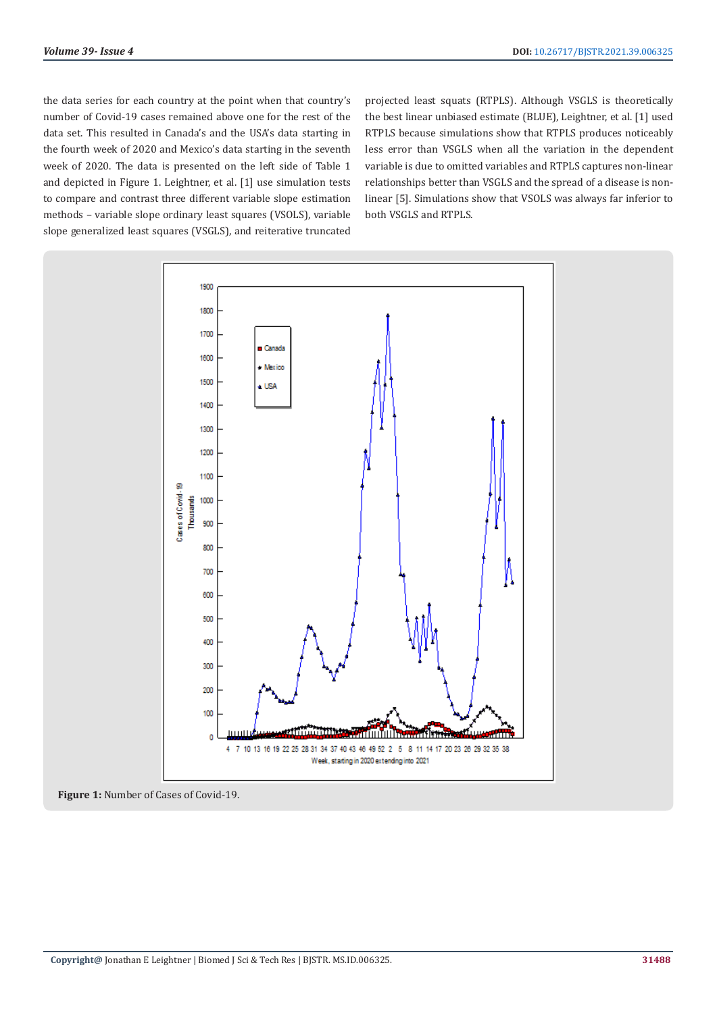the data series for each country at the point when that country's number of Covid-19 cases remained above one for the rest of the data set. This resulted in Canada's and the USA's data starting in the fourth week of 2020 and Mexico's data starting in the seventh week of 2020. The data is presented on the left side of Table 1 and depicted in Figure 1. Leightner, et al. [1] use simulation tests to compare and contrast three different variable slope estimation methods – variable slope ordinary least squares (VSOLS), variable slope generalized least squares (VSGLS), and reiterative truncated

projected least squats (RTPLS). Although VSGLS is theoretically the best linear unbiased estimate (BLUE), Leightner, et al. [1] used RTPLS because simulations show that RTPLS produces noticeably less error than VSGLS when all the variation in the dependent variable is due to omitted variables and RTPLS captures non-linear relationships better than VSGLS and the spread of a disease is nonlinear [5]. Simulations show that VSOLS was always far inferior to both VSGLS and RTPLS.



**Figure 1:** Number of Cases of Covid-19.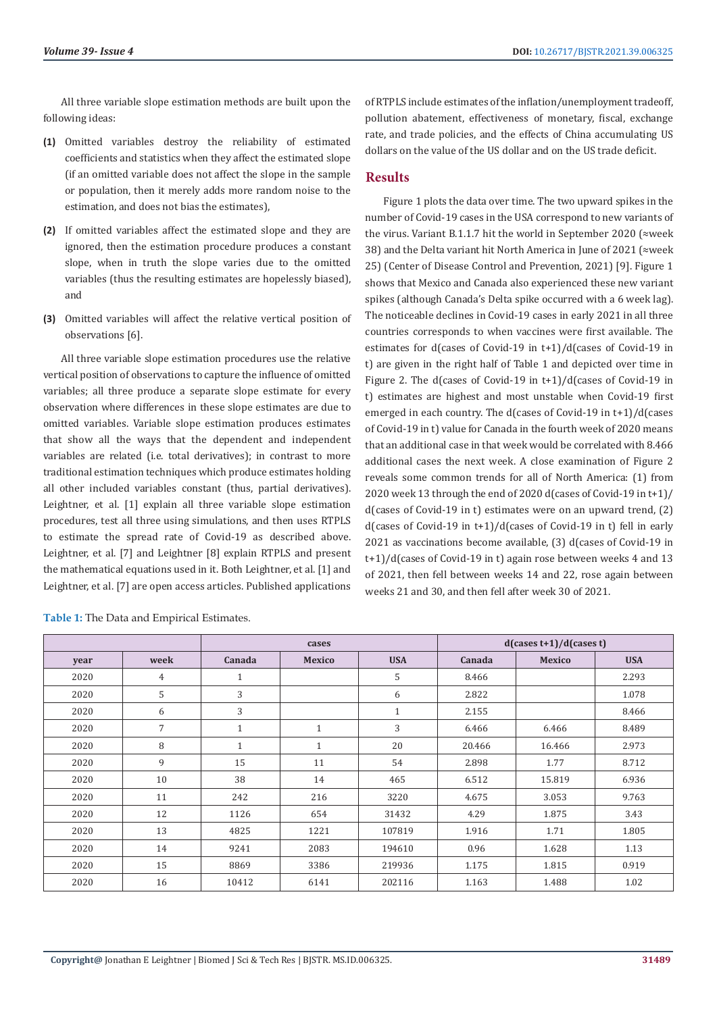All three variable slope estimation methods are built upon the following ideas:

- **(1)** Omitted variables destroy the reliability of estimated coefficients and statistics when they affect the estimated slope (if an omitted variable does not affect the slope in the sample or population, then it merely adds more random noise to the estimation, and does not bias the estimates),
- **(2)** If omitted variables affect the estimated slope and they are ignored, then the estimation procedure produces a constant slope, when in truth the slope varies due to the omitted variables (thus the resulting estimates are hopelessly biased), and
- **(3)** Omitted variables will affect the relative vertical position of observations [6].

All three variable slope estimation procedures use the relative vertical position of observations to capture the influence of omitted variables; all three produce a separate slope estimate for every observation where differences in these slope estimates are due to omitted variables. Variable slope estimation produces estimates that show all the ways that the dependent and independent variables are related (i.e. total derivatives); in contrast to more traditional estimation techniques which produce estimates holding all other included variables constant (thus, partial derivatives). Leightner, et al. [1] explain all three variable slope estimation procedures, test all three using simulations, and then uses RTPLS to estimate the spread rate of Covid-19 as described above. Leightner, et al. [7] and Leightner [8] explain RTPLS and present the mathematical equations used in it. Both Leightner, et al. [1] and Leightner, et al. [7] are open access articles. Published applications of RTPLS include estimates of the inflation/unemployment tradeoff, pollution abatement, effectiveness of monetary, fiscal, exchange rate, and trade policies, and the effects of China accumulating US dollars on the value of the US dollar and on the US trade deficit.

# **Results**

Figure 1 plots the data over time. The two upward spikes in the number of Covid-19 cases in the USA correspond to new variants of the virus. Variant B.1.1.7 hit the world in September 2020 (≈week 38) and the Delta variant hit North America in June of 2021 (≈week 25) (Center of Disease Control and Prevention, 2021) [9]. Figure 1 shows that Mexico and Canada also experienced these new variant spikes (although Canada's Delta spike occurred with a 6 week lag). The noticeable declines in Covid-19 cases in early 2021 in all three countries corresponds to when vaccines were first available. The estimates for d(cases of Covid-19 in t+1)/d(cases of Covid-19 in t) are given in the right half of Table 1 and depicted over time in Figure 2. The d(cases of Covid-19 in t+1)/d(cases of Covid-19 in t) estimates are highest and most unstable when Covid-19 first emerged in each country. The d(cases of Covid-19 in t+1)/d(cases of Covid-19 in t) value for Canada in the fourth week of 2020 means that an additional case in that week would be correlated with 8.466 additional cases the next week. A close examination of Figure 2 reveals some common trends for all of North America: (1) from 2020 week 13 through the end of 2020 d(cases of Covid-19 in t+1)/ d(cases of Covid-19 in t) estimates were on an upward trend, (2) d(cases of Covid-19 in t+1)/d(cases of Covid-19 in t) fell in early 2021 as vaccinations become available, (3) d(cases of Covid-19 in t+1)/d(cases of Covid-19 in t) again rose between weeks 4 and 13 of 2021, then fell between weeks 14 and 22, rose again between weeks 21 and 30, and then fell after week 30 of 2021.

|      |                | cases        |               |              | $d(\cases t+1)/d(\cases t)$ |               |            |
|------|----------------|--------------|---------------|--------------|-----------------------------|---------------|------------|
| year | week           | Canada       | <b>Mexico</b> | <b>USA</b>   | Canada                      | <b>Mexico</b> | <b>USA</b> |
| 2020 | 4              | $\mathbf{1}$ |               | 5            | 8.466                       |               | 2.293      |
| 2020 | 5              | 3            |               | 6            | 2.822                       |               | 1.078      |
| 2020 | 6              | 3            |               | $\mathbf{1}$ | 2.155                       |               | 8.466      |
| 2020 | $\overline{7}$ | $\mathbf{1}$ | $\mathbf{1}$  | 3            | 6.466                       | 6.466         | 8.489      |
| 2020 | 8              | $\mathbf{1}$ | $\mathbf{1}$  | 20           | 20.466                      | 16.466        | 2.973      |
| 2020 | 9              | 15           | 11            | 54           | 2.898                       | 1.77          | 8.712      |
| 2020 | 10             | 38           | 14            | 465          | 6.512                       | 15.819        | 6.936      |
| 2020 | 11             | 242          | 216           | 3220         | 4.675                       | 3.053         | 9.763      |
| 2020 | 12             | 1126         | 654           | 31432        | 4.29                        | 1.875         | 3.43       |
| 2020 | 13             | 4825         | 1221          | 107819       | 1.916                       | 1.71          | 1.805      |
| 2020 | 14             | 9241         | 2083          | 194610       | 0.96                        | 1.628         | 1.13       |
| 2020 | 15             | 8869         | 3386          | 219936       | 1.175                       | 1.815         | 0.919      |
| 2020 | 16             | 10412        | 6141          | 202116       | 1.163                       | 1.488         | 1.02       |

**Table 1:** The Data and Empirical Estimates.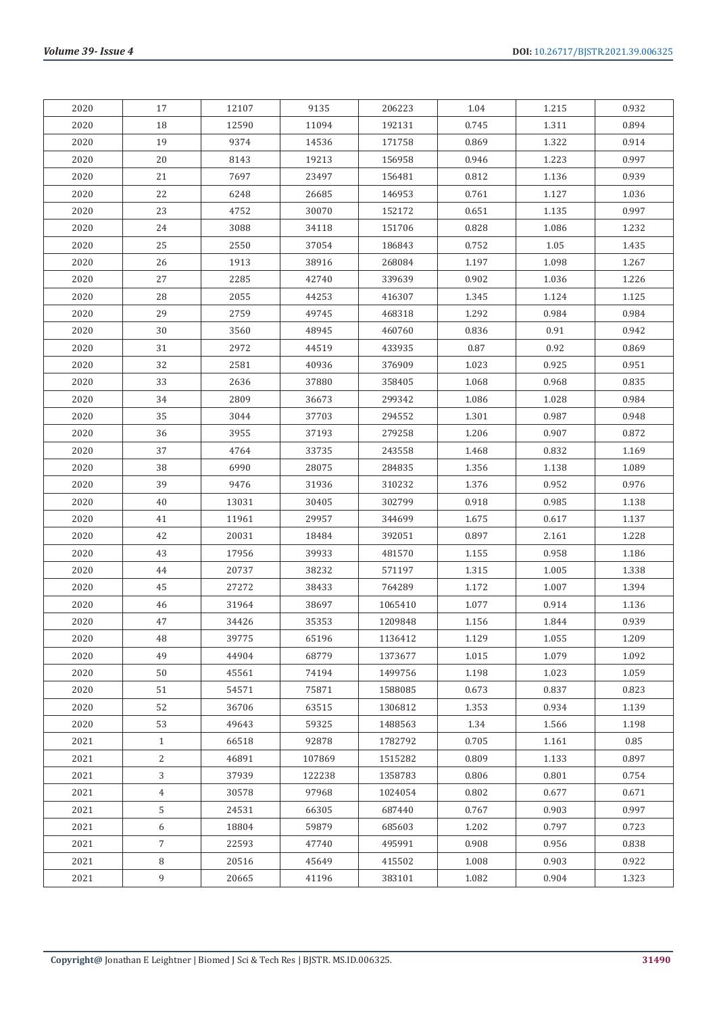| 2020 | 17             | 12107 | 9135   | 206223  | 1.04  | 1.215     | 0.932 |
|------|----------------|-------|--------|---------|-------|-----------|-------|
| 2020 | 18             | 12590 | 11094  | 192131  | 0.745 | 1.311     | 0.894 |
| 2020 | 19             | 9374  | 14536  | 171758  | 0.869 | 1.322     | 0.914 |
| 2020 | 20             | 8143  | 19213  | 156958  | 0.946 | 1.223     | 0.997 |
| 2020 | 21             | 7697  | 23497  | 156481  | 0.812 | 1.136     | 0.939 |
| 2020 | 22             | 6248  | 26685  | 146953  | 0.761 | 1.127     | 1.036 |
| 2020 | 23             | 4752  | 30070  | 152172  | 0.651 | 1.135     | 0.997 |
| 2020 | 24             | 3088  | 34118  | 151706  | 0.828 | 1.086     | 1.232 |
| 2020 | 25             | 2550  | 37054  | 186843  | 0.752 | 1.05      | 1.435 |
| 2020 | 26             | 1913  | 38916  | 268084  | 1.197 | 1.098     | 1.267 |
| 2020 | 27             | 2285  | 42740  | 339639  | 0.902 | 1.036     | 1.226 |
| 2020 | 28             | 2055  | 44253  | 416307  | 1.345 | 1.124     | 1.125 |
| 2020 | 29             | 2759  | 49745  | 468318  | 1.292 | 0.984     | 0.984 |
| 2020 | 30             | 3560  | 48945  | 460760  | 0.836 | 0.91      | 0.942 |
| 2020 | 31             | 2972  | 44519  | 433935  | 0.87  | 0.92      | 0.869 |
| 2020 | 32             | 2581  | 40936  | 376909  | 1.023 | 0.925     | 0.951 |
| 2020 | 33             | 2636  | 37880  | 358405  | 1.068 | 0.968     | 0.835 |
| 2020 | 34             | 2809  | 36673  | 299342  | 1.086 | 1.028     | 0.984 |
| 2020 | 35             | 3044  | 37703  | 294552  | 1.301 | 0.987     | 0.948 |
| 2020 | 36             | 3955  | 37193  | 279258  | 1.206 | 0.907     | 0.872 |
| 2020 | 37             | 4764  | 33735  | 243558  | 1.468 | 0.832     | 1.169 |
| 2020 | 38             | 6990  | 28075  | 284835  | 1.356 | 1.138     | 1.089 |
| 2020 | 39             | 9476  | 31936  | 310232  | 1.376 | 0.952     | 0.976 |
| 2020 | 40             | 13031 | 30405  | 302799  | 0.918 | 0.985     | 1.138 |
| 2020 | 41             | 11961 | 29957  | 344699  | 1.675 | 0.617     | 1.137 |
| 2020 | 42             | 20031 | 18484  | 392051  | 0.897 | 2.161     | 1.228 |
| 2020 | 43             | 17956 | 39933  | 481570  | 1.155 | 0.958     | 1.186 |
| 2020 | 44             | 20737 | 38232  | 571197  | 1.315 | 1.005     | 1.338 |
| 2020 | 45             | 27272 | 38433  | 764289  | 1.172 | 1.007     | 1.394 |
| 2020 | 46             | 31964 | 38697  | 1065410 | 1.077 | 0.914     | 1.136 |
| 2020 | 47             | 34426 | 35353  | 1209848 | 1.156 | 1.844     | 0.939 |
| 2020 | 48             | 39775 | 65196  | 1136412 | 1.129 | 1.055     | 1.209 |
| 2020 | 49             | 44904 | 68779  | 1373677 | 1.015 | 1.079     | 1.092 |
| 2020 | 50             | 45561 | 74194  | 1499756 | 1.198 | 1.023     | 1.059 |
| 2020 | 51             | 54571 | 75871  | 1588085 | 0.673 | 0.837     | 0.823 |
| 2020 | 52             | 36706 | 63515  | 1306812 | 1.353 | 0.934     | 1.139 |
| 2020 | 53             | 49643 | 59325  | 1488563 | 1.34  | 1.566     | 1.198 |
| 2021 | $\mathbf{1}$   | 66518 | 92878  | 1782792 | 0.705 | $1.161\,$ | 0.85  |
| 2021 | 2              | 46891 | 107869 | 1515282 | 0.809 | 1.133     | 0.897 |
| 2021 | 3              | 37939 | 122238 | 1358783 | 0.806 | 0.801     | 0.754 |
| 2021 | $\overline{4}$ | 30578 | 97968  | 1024054 | 0.802 | 0.677     | 0.671 |
| 2021 | 5              | 24531 | 66305  | 687440  | 0.767 | 0.903     | 0.997 |
| 2021 | 6              | 18804 | 59879  | 685603  | 1.202 | 0.797     | 0.723 |
| 2021 | $\overline{7}$ | 22593 | 47740  | 495991  | 0.908 | 0.956     | 0.838 |
| 2021 | 8              | 20516 | 45649  | 415502  | 1.008 | 0.903     | 0.922 |
| 2021 | 9              | 20665 | 41196  | 383101  | 1.082 | 0.904     | 1.323 |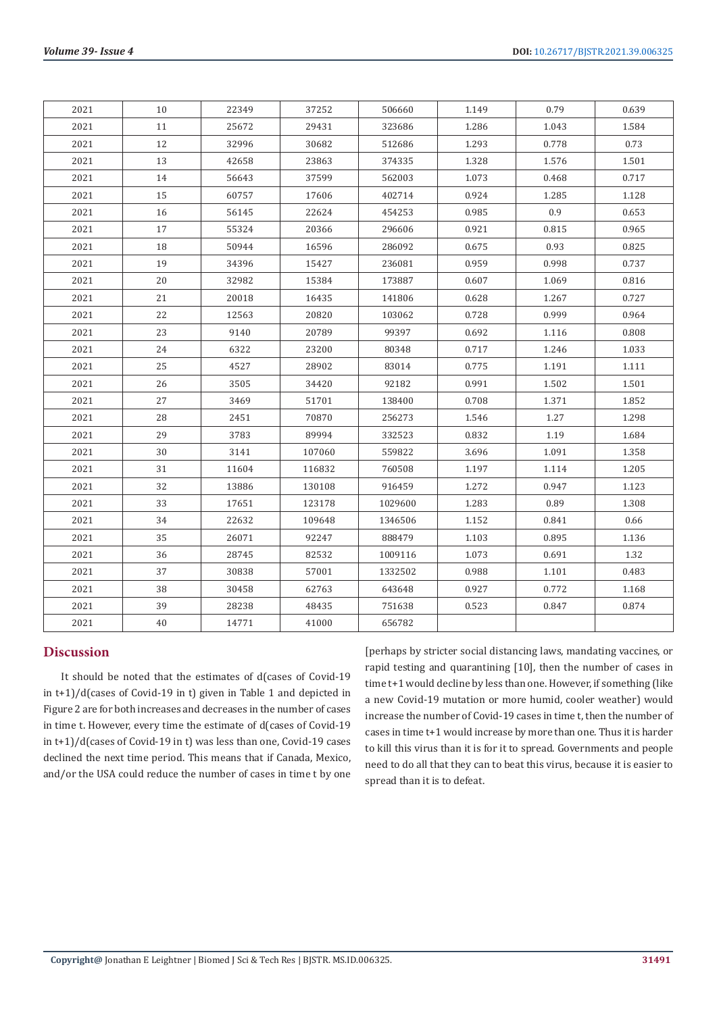| 2021 | 10 | 22349 | 37252  | 506660  | 1.149 | 0.79  | 0.639 |
|------|----|-------|--------|---------|-------|-------|-------|
| 2021 | 11 | 25672 | 29431  | 323686  | 1.286 | 1.043 | 1.584 |
| 2021 | 12 | 32996 | 30682  | 512686  | 1.293 | 0.778 | 0.73  |
| 2021 | 13 | 42658 | 23863  | 374335  | 1.328 | 1.576 | 1.501 |
| 2021 | 14 | 56643 | 37599  | 562003  | 1.073 | 0.468 | 0.717 |
| 2021 | 15 | 60757 | 17606  | 402714  | 0.924 | 1.285 | 1.128 |
| 2021 | 16 | 56145 | 22624  | 454253  | 0.985 | 0.9   | 0.653 |
| 2021 | 17 | 55324 | 20366  | 296606  | 0.921 | 0.815 | 0.965 |
| 2021 | 18 | 50944 | 16596  | 286092  | 0.675 | 0.93  | 0.825 |
| 2021 | 19 | 34396 | 15427  | 236081  | 0.959 | 0.998 | 0.737 |
| 2021 | 20 | 32982 | 15384  | 173887  | 0.607 | 1.069 | 0.816 |
| 2021 | 21 | 20018 | 16435  | 141806  | 0.628 | 1.267 | 0.727 |
| 2021 | 22 | 12563 | 20820  | 103062  | 0.728 | 0.999 | 0.964 |
| 2021 | 23 | 9140  | 20789  | 99397   | 0.692 | 1.116 | 0.808 |
| 2021 | 24 | 6322  | 23200  | 80348   | 0.717 | 1.246 | 1.033 |
| 2021 | 25 | 4527  | 28902  | 83014   | 0.775 | 1.191 | 1.111 |
| 2021 | 26 | 3505  | 34420  | 92182   | 0.991 | 1.502 | 1.501 |
| 2021 | 27 | 3469  | 51701  | 138400  | 0.708 | 1.371 | 1.852 |
| 2021 | 28 | 2451  | 70870  | 256273  | 1.546 | 1.27  | 1.298 |
| 2021 | 29 | 3783  | 89994  | 332523  | 0.832 | 1.19  | 1.684 |
| 2021 | 30 | 3141  | 107060 | 559822  | 3.696 | 1.091 | 1.358 |
| 2021 | 31 | 11604 | 116832 | 760508  | 1.197 | 1.114 | 1.205 |
| 2021 | 32 | 13886 | 130108 | 916459  | 1.272 | 0.947 | 1.123 |
| 2021 | 33 | 17651 | 123178 | 1029600 | 1.283 | 0.89  | 1.308 |
| 2021 | 34 | 22632 | 109648 | 1346506 | 1.152 | 0.841 | 0.66  |
| 2021 | 35 | 26071 | 92247  | 888479  | 1.103 | 0.895 | 1.136 |
| 2021 | 36 | 28745 | 82532  | 1009116 | 1.073 | 0.691 | 1.32  |
| 2021 | 37 | 30838 | 57001  | 1332502 | 0.988 | 1.101 | 0.483 |
| 2021 | 38 | 30458 | 62763  | 643648  | 0.927 | 0.772 | 1.168 |
| 2021 | 39 | 28238 | 48435  | 751638  | 0.523 | 0.847 | 0.874 |
| 2021 | 40 | 14771 | 41000  | 656782  |       |       |       |

# **Discussion**

It should be noted that the estimates of d(cases of Covid-19 in t+1)/d(cases of Covid-19 in t) given in Table 1 and depicted in Figure 2 are for both increases and decreases in the number of cases in time t. However, every time the estimate of d(cases of Covid-19 in t+1)/d(cases of Covid-19 in t) was less than one, Covid-19 cases declined the next time period. This means that if Canada, Mexico, and/or the USA could reduce the number of cases in time t by one

[perhaps by stricter social distancing laws, mandating vaccines, or rapid testing and quarantining [10], then the number of cases in time t+1 would decline by less than one. However, if something (like a new Covid-19 mutation or more humid, cooler weather) would increase the number of Covid-19 cases in time t, then the number of cases in time t+1 would increase by more than one. Thus it is harder to kill this virus than it is for it to spread. Governments and people need to do all that they can to beat this virus, because it is easier to spread than it is to defeat.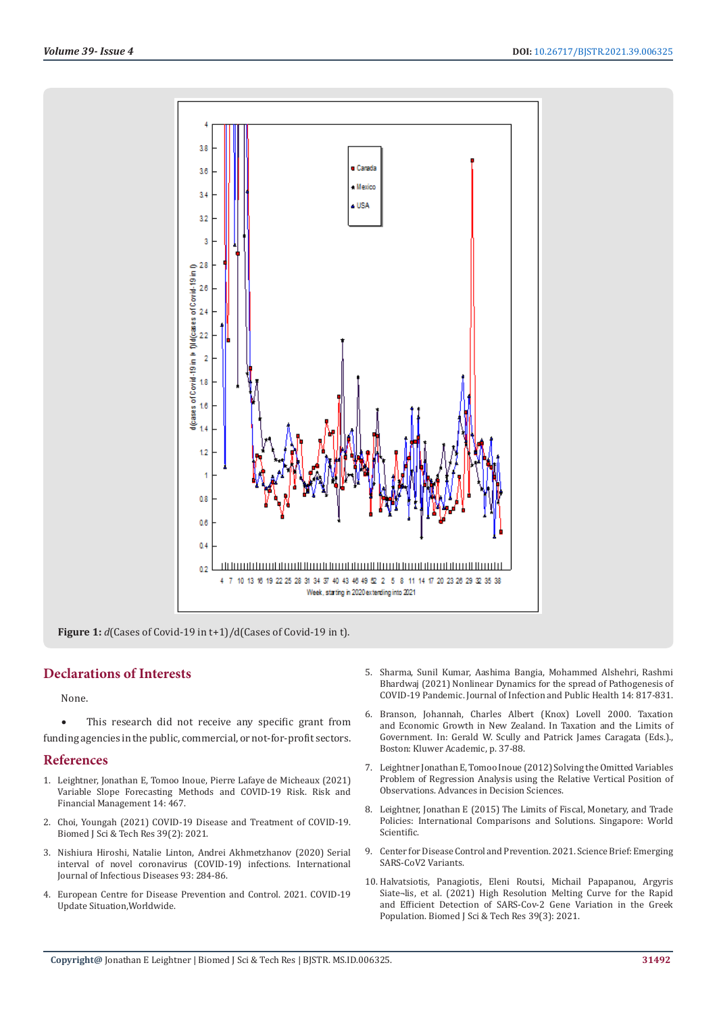

**Figure 1:** *d*(Cases of Covid-19 in t+1)/d(Cases of Covid-19 in t).

# **Declarations of Interests**

None.

• This research did not receive any specific grant from funding agencies in the public, commercial, or not-for-profit sectors.

#### **References**

- 1. [Leightner, Jonathan E, Tomoo Inoue, Pierre Lafaye de Micheaux \(2021\)](https://www.mdpi.com/1911-8074/14/10/467)  [Variable Slope Forecasting Methods and COVID-19 Risk. Risk and](https://www.mdpi.com/1911-8074/14/10/467)  [Financial Management 14: 467.](https://www.mdpi.com/1911-8074/14/10/467)
- 2. Choi, Youngah (2021) COVID-19 Disease and Treatment of COVID-19. Biomed J Sci & Tech Res 39(2): 2021.
- 3. [Nishiura Hiroshi, Natalie Linton, Andrei Akhmetzhanov \(2020\) Serial](https://www.ijidonline.com/article/S1201-9712(20)30119-3/fulltext)  [interval of novel coronavirus \(COVID-19\) infections. International](https://www.ijidonline.com/article/S1201-9712(20)30119-3/fulltext)  [Journal of Infectious Diseases 93: 284-86.](https://www.ijidonline.com/article/S1201-9712(20)30119-3/fulltext)
- 4. [European Centre for Disease Prevention and Control. 2021. COVID-19](https://www.ecdc.europa.eu/en/geographical-distribution-2019-ncov-cases)  [Update Situation,Worldwide.](https://www.ecdc.europa.eu/en/geographical-distribution-2019-ncov-cases)
- 5. [Sharma, Sunil Kumar, Aashima Bangia, Mohammed Alshehri, Rashmi](https://www.sciencedirect.com/science/article/pii/S1876034121000939?via%3Dihub) [Bhardwaj \(2021\) Nonlinear Dynamics for the spread of Pathogenesis of](https://www.sciencedirect.com/science/article/pii/S1876034121000939?via%3Dihub) [COVID-19 Pandemic. Journal of Infection and Public Health 14: 817-831.](https://www.sciencedirect.com/science/article/pii/S1876034121000939?via%3Dihub)
- 6. Branson, Johannah, Charles Albert (Knox) Lovell 2000. Taxation and Economic Growth in New Zealand. In Taxation and the Limits of Government. In: Gerald W. Scully and Patrick James Caragata (Eds.)., Boston: Kluwer Academic, p. 37-88.
- 7. [Leightner Jonathan E, Tomoo Inoue \(2012\) Solving the Omitted Variables](https://www.hindawi.com/journals/ads/2012/728980/) [Problem of Regression Analysis using the Relative Vertical Position of](https://www.hindawi.com/journals/ads/2012/728980/) [Observations. Advances in Decision Sciences.](https://www.hindawi.com/journals/ads/2012/728980/)
- 8. [Leightner, Jonathan E \(2015\) The Limits of Fiscal, Monetary, and Trade](https://www.worldscientific.com/worldscibooks/10.1142/9022) [Policies: International Comparisons and Solutions. Singapore: World](https://www.worldscientific.com/worldscibooks/10.1142/9022) [Scientific.](https://www.worldscientific.com/worldscibooks/10.1142/9022)
- 9. Center for Disease Control and Prevention. 2021. Science Brief: Emerging SARS-CoV2 Variants.
- 10. Halvatsiotis, Panagiotis, Eleni Routsi, Michail Papapanou, Argyris Siate¬lis, et al. (2021) High Resolution Melting Curve for the Rapid and Efficient Detection of SARS-Cov-2 Gene Variation in the Greek Population. Biomed J Sci & Tech Res 39(3): 2021.